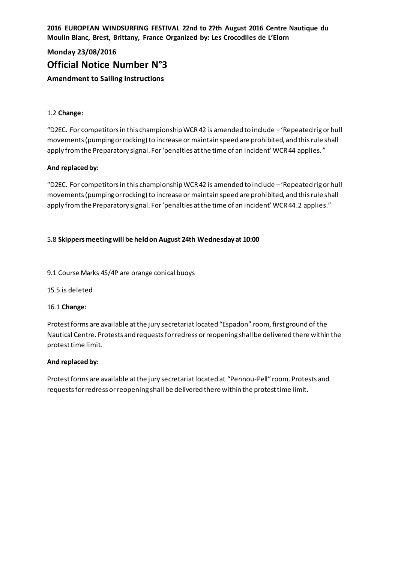**2016 EUROPEAN WINDSURFING FESTIVAL 22nd to 27th August 2016 Centre Nautique du Moulin Blanc, Brest, Brittany, France Organized by: Les Crocodiles de L'Elorn**

# **Monday 23/08/2016 Official Notice Number N°3 Amendment to Sailing Instructions**

# 1.2 **Change:**

"D2EC. For competitors in this championship WCR 42 is amended to include –'Repeated rig or hull movements (pumping or rocking) to increase or maintain speed are prohibited, and this rule shall apply from the Preparatory signal. For 'penalties at the time of an incident' WCR 44 applies. "

# **And replaced by:**

"D2EC. For competitors in this championship WCR 42 is amended to include –'Repeated rig or hull movements (pumping or rocking) to increase or maintain speed are prohibited, and this rule shall apply from the Preparatory signal. For 'penalties at the time of an incident' WCR 44.2 applies."

# 5.8 **Skippers meeting will be held on August 24th Wednesday at 10:00**

# 9.1 Course Marks 4S/4P are orange conical buoys

15.5 is deleted

# 16.1 **Change:**

Protest forms are available at the jury secretariat located "Espadon" room, first ground of the Nautical Centre. Protests and requests for redress or reopening shall be delivered there within the protest time limit.

# **And replaced by:**

Protest forms are available at the jury secretariat located at "Pennou-Pell" room. Protests and requests for redress or reopening shall be delivered there within the protest time limit.